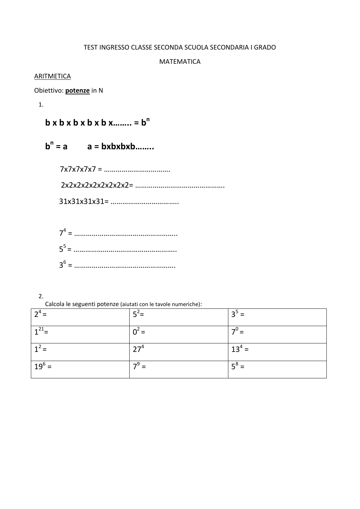### TEST INGRESSO CLASSE SECONDA SCUOLA SECONDARIA I GRADO

#### MATEMATICA

#### **ARITMETICA**

Obiettivo: **potenze** in N

1.

 **b x b x b x b x b x…….. = b n**

 **b n = a a = bxbxbxb……..**

 7x7x7x7x7 = ……………………………. 2x2x2x2x2x2x2x2x2= ………………………………………. 31x31x31x31= ……………………………..

| $=$      |
|----------|
| $\cdots$ |
|          |

2.

Calcola le seguenti potenze (aiutati con le tavole numeriche):

| $2^4$ =  | = כ             | $3^5 =$                   |
|----------|-----------------|---------------------------|
| $1^{21}$ | $0^{\circ}$ =   | $=$                       |
| $1^2$ =  | 27 <sup>4</sup> | $13^4$ =                  |
| $19^6$ = | $7^9$ =         | $\mathbf{r} = \mathbf{r}$ |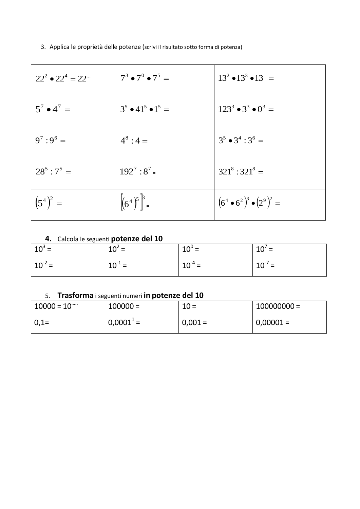3. Applica le proprietà delle potenze (scrivi il risultato sotto forma di potenza)

| $22^2 \cdot 22^4 = 22$ | $7^3 \bullet 7^0 \bullet 7^5 =$ | $13^2 \cdot 13^3 \cdot 13 =$        |
|------------------------|---------------------------------|-------------------------------------|
| $5^7 \cdot 4^7 =$      | $3^5 \cdot 41^5 \cdot 1^5 =$    | $123^3 \bullet 3^3 \bullet 0^3 =$   |
| $9^7:9^6=$             | $4^8:4=$                        | $3^5 \cdot 3^4 : 3^6 =$             |
| $28^5:7^5 =$           | $192^7:8^7$                     | $321^8:321^8 =$                     |
| $(5^4)^2 =$            | $\left[ (6^4)^5 \right]^3 =$    | $(6^4 \cdot 6^2)^3 \cdot (2^9)^2 =$ |

## **4.** Calcola le seguenti **potenze del 10**

| $10^3$ =    | $10^2$ =    | $10^0$ =    | $10'$ =     |
|-------------|-------------|-------------|-------------|
| $10^{-2}$ = | $10^{-1}$ = | $10^{-4}$ = | $10^{-7}$ = |

## 5. **Trasforma** i seguenti numeri **in potenze del 10**

| $10000 = 10$ | $100000 =$         | $10 =$    | $100000000 =$ |
|--------------|--------------------|-----------|---------------|
| $  0, 1 =$   | $0,0001^{\circ}$ = | $0,001 =$ | $0,00001 =$   |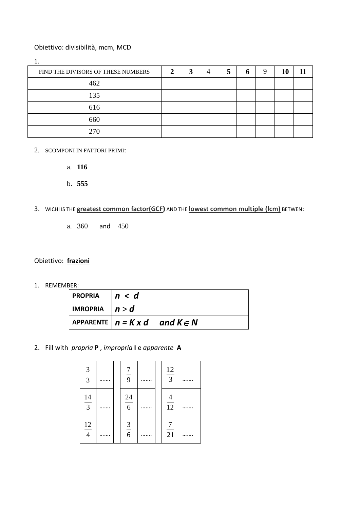### Obiettivo: divisibilità, mcm, MCD

| FIND THE DIVISORS OF THESE NUMBERS | 2 |  | n. | 10 |  |
|------------------------------------|---|--|----|----|--|
| 462                                |   |  |    |    |  |
| 135                                |   |  |    |    |  |
| 616                                |   |  |    |    |  |
| 660                                |   |  |    |    |  |
| 270                                |   |  |    |    |  |

- 2. SCOMPONI IN FATTORI PRIMI:
	- a. **116**
	- b. **555**
- 3. WICHI IS THE **greatest common factor(GCF)** AND THE **lowest common multiple (lcm)** BETWEN:
	- a. 360 and 450

### Obiettivo: **frazioni**

1. REMEMBER:

| PROPRIA $ n < d$ |                                              |  |
|------------------|----------------------------------------------|--|
| IMROPRIA $ n> d$ |                                              |  |
|                  | APPARENTE $n = K x d$ and $K \in \mathbb{N}$ |  |

2. Fill with *propria* **P** , *impropria* **I** e *apparente* **A**

| $rac{3}{3}$    |  | $\frac{7}{9}$  |  | $\frac{12}{3}$ |  |
|----------------|--|----------------|--|----------------|--|
| $\frac{14}{3}$ |  | $\frac{24}{6}$ |  | $\frac{4}{12}$ |  |
| $\frac{12}{4}$ |  | $\frac{3}{6}$  |  | $\frac{7}{21}$ |  |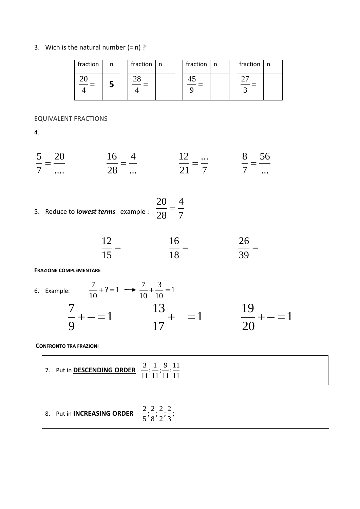## 3. Wich is the natural number  $(= n)$  ?

| fraction                | n | fraction n |  | fraction | $\ln$ | fraction $ n $ |  |
|-------------------------|---|------------|--|----------|-------|----------------|--|
| $\tilde{\phantom{a}} =$ |   |            |  |          |       |                |  |

EQUIVALENT FRACTIONS

4.

$$
\frac{5}{7} = \frac{20}{\dots} \qquad \qquad \frac{16}{28} = \frac{4}{\dots} \qquad \qquad \frac{12}{21} = \frac{\dots}{7} \qquad \qquad \frac{8}{7} = \frac{56}{\dots}
$$

5. Reduce to lowest terms example : 
$$
\frac{20}{28} = \frac{4}{7}
$$

$$
\frac{12}{15} = \frac{16}{18} = \frac{26}{39} =
$$

#### **FRAZIONE COMPLEMENTARE**

6. Example: 
$$
\frac{7}{10} + ? = 1 \longrightarrow \frac{7}{10} + \frac{3}{10} = 1
$$

$$
\frac{7}{9} + - = 1 \qquad \frac{13}{17} + - = 1 \qquad \frac{19}{20} + - = 1
$$

**CONFRONTO TRA FRAZIONI**

| 7. Put in <b>DESCENDING ORDER</b> | 3 1 9 11 |
|-----------------------------------|----------|
|-----------------------------------|----------|

| 2 2 2 2<br>8. Put in <b>INCREASING ORDER</b><br>________<br>$\frac{1}{5}, \frac{1}{8}, \frac{1}{2}, \frac{1}{3}$ |  |
|------------------------------------------------------------------------------------------------------------------|--|
|------------------------------------------------------------------------------------------------------------------|--|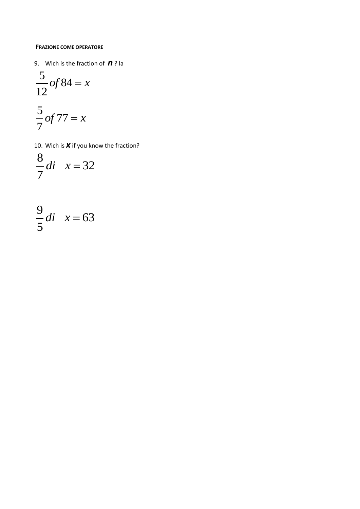#### **FRAZIONE COME OPERATORE**

9. Wich is the fraction of *n* ? la

$$
\frac{5}{12}of84 = x
$$

$$
\frac{5}{7}of 77 = x
$$

10. Wich is *x* if you know the fraction?

$$
\frac{8}{7}di \quad x = 32
$$

$$
\frac{9}{5}di \quad x = 63
$$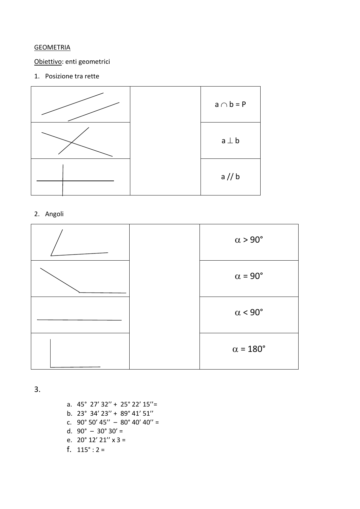## **GEOMETRIA**

## Obiettivo: enti geometrici

## 1. Posizione tra rette



## 2. Angoli



3.

a. 45° 27' 32'' + 25° 22' 15''= b. 23° 34' 23'' + 89° 41' 51'' c.  $90^{\circ}$  50' 45'' –  $80^{\circ}$  40' 40'' = d.  $90^{\circ} - 30^{\circ} 30' =$ e.  $20^{\circ}$  12' 21" x 3 = f.  $115^\circ$  : 2 =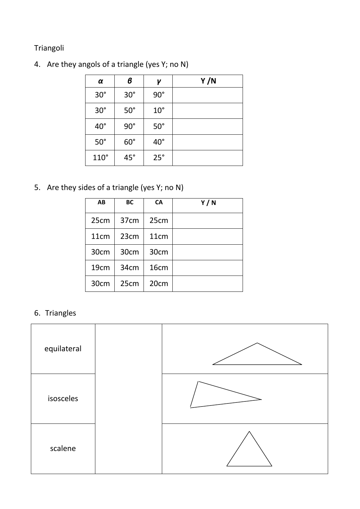# Triangoli

4. Are they angols of a triangle (yes Y; no N)

| α            | в          | γ            | Y/N |
|--------------|------------|--------------|-----|
| $30^\circ$   | $30^\circ$ | $90^\circ$   |     |
| $30^\circ$   | $50^\circ$ | $10^{\circ}$ |     |
| $40^{\circ}$ | $90^\circ$ | $50^\circ$   |     |
| $50^\circ$   | $60^\circ$ | $40^{\circ}$ |     |
| $110^\circ$  | $45^\circ$ | $25^\circ$   |     |

5. Are they sides of a triangle (yes Y; no N)

| AB               | BC               | CA               | Y/N |
|------------------|------------------|------------------|-----|
| 25cm             | 37 <sub>cm</sub> | 25cm             |     |
| 11 <sub>cm</sub> | 23cm             | 11 <sub>cm</sub> |     |
| 30cm             | 30cm             | 30cm             |     |
| 19 <sub>cm</sub> | 34 <sub>cm</sub> | 16cm             |     |
| 30cm             | 25cm             | 20 <sub>cm</sub> |     |

6. Triangles